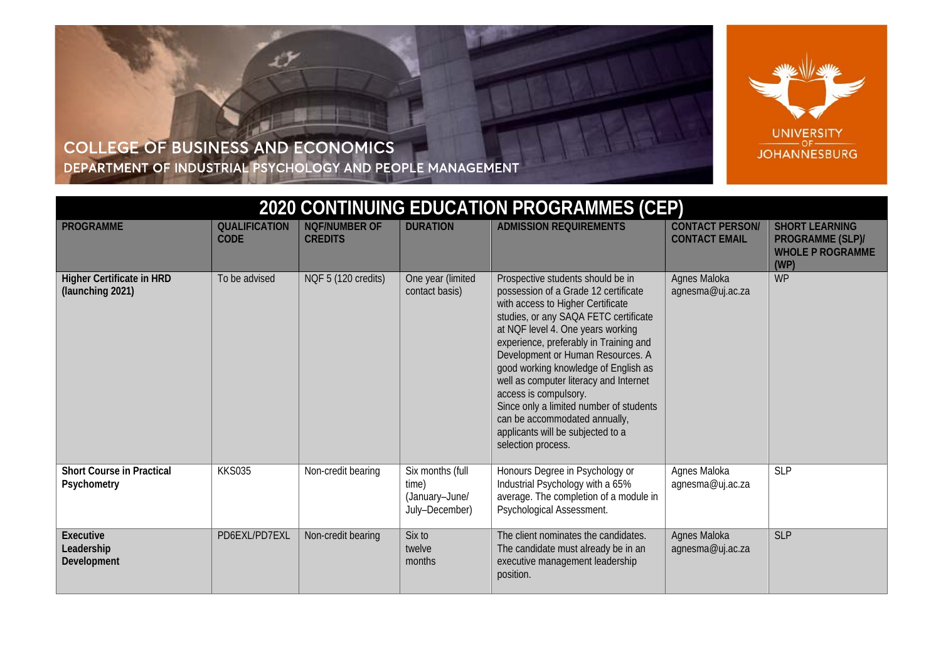

## COLLEGE OF BUSINESS AND ECONOMICS DEPARTMENT OF INDUSTRIAL PSYCHOLOGY AND PEOPLE MANAGEMENT

| 2020 CONTINUING EDUCATION PROGRAMMES (CEP)           |                                     |                                        |                                                               |                                                                                                                                                                                                                                                                                                                                                                                                                                                                                                                               |                                                |                                                                              |  |
|------------------------------------------------------|-------------------------------------|----------------------------------------|---------------------------------------------------------------|-------------------------------------------------------------------------------------------------------------------------------------------------------------------------------------------------------------------------------------------------------------------------------------------------------------------------------------------------------------------------------------------------------------------------------------------------------------------------------------------------------------------------------|------------------------------------------------|------------------------------------------------------------------------------|--|
| <b>PROGRAMME</b>                                     | <b>QUALIFICATION</b><br><b>CODE</b> | <b>NQF/NUMBER OF</b><br><b>CREDITS</b> | <b>DURATION</b>                                               | <b>ADMISSION REQUIREMENTS</b>                                                                                                                                                                                                                                                                                                                                                                                                                                                                                                 | <b>CONTACT PERSON/</b><br><b>CONTACT EMAIL</b> | <b>SHORT LEARNING</b><br>PROGRAMME (SLP)/<br><b>WHOLE P ROGRAMME</b><br>(WP) |  |
| <b>Higher Certificate in HRD</b><br>(launching 2021) | To be advised                       | NQF 5 (120 credits)                    | One year (limited<br>contact basis)                           | Prospective students should be in<br>possession of a Grade 12 certificate<br>with access to Higher Certificate<br>studies, or any SAQA FETC certificate<br>at NQF level 4. One years working<br>experience, preferably in Training and<br>Development or Human Resources. A<br>good working knowledge of English as<br>well as computer literacy and Internet<br>access is compulsory.<br>Since only a limited number of students<br>can be accommodated annually,<br>applicants will be subjected to a<br>selection process. | Agnes Maloka<br>agnesma@uj.ac.za               | <b>WP</b>                                                                    |  |
| <b>Short Course in Practical</b><br>Psychometry      | <b>KKS035</b>                       | Non-credit bearing                     | Six months (full<br>time)<br>(January-June/<br>July-December) | Honours Degree in Psychology or<br>Industrial Psychology with a 65%<br>average. The completion of a module in<br>Psychological Assessment.                                                                                                                                                                                                                                                                                                                                                                                    | Agnes Maloka<br>agnesma@uj.ac.za               | <b>SLP</b>                                                                   |  |
| Executive<br>Leadership<br>Development               | PD6EXL/PD7EXL                       | Non-credit bearing                     | Six to<br>twelve<br>months                                    | The client nominates the candidates.<br>The candidate must already be in an<br>executive management leadership<br>position.                                                                                                                                                                                                                                                                                                                                                                                                   | Agnes Maloka<br>agnesma@uj.ac.za               | <b>SLP</b>                                                                   |  |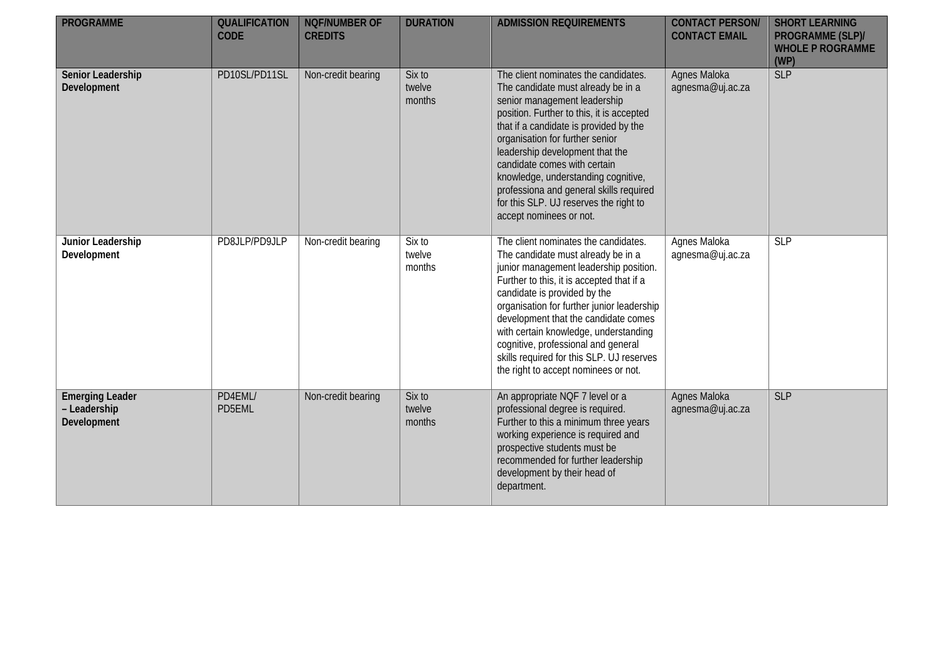| <b>PROGRAMME</b>                                      | <b>QUALIFICATION</b><br><b>CODE</b> | <b>NQF/NUMBER OF</b><br><b>CREDITS</b> | <b>DURATION</b>            | <b>ADMISSION REQUIREMENTS</b>                                                                                                                                                                                                                                                                                                                                                                                                                                  | <b>CONTACT PERSON/</b><br><b>CONTACT EMAIL</b> | <b>SHORT LEARNING</b><br>PROGRAMME (SLP)/<br><b>WHOLE P ROGRAMME</b><br>(WP) |
|-------------------------------------------------------|-------------------------------------|----------------------------------------|----------------------------|----------------------------------------------------------------------------------------------------------------------------------------------------------------------------------------------------------------------------------------------------------------------------------------------------------------------------------------------------------------------------------------------------------------------------------------------------------------|------------------------------------------------|------------------------------------------------------------------------------|
| Senior Leadership<br>Development                      | PD10SL/PD11SL                       | Non-credit bearing                     | Six to<br>twelve<br>months | The client nominates the candidates.<br>The candidate must already be in a<br>senior management leadership<br>position. Further to this, it is accepted<br>that if a candidate is provided by the<br>organisation for further senior<br>leadership development that the<br>candidate comes with certain<br>knowledge, understanding cognitive,<br>professiona and general skills required<br>for this SLP. UJ reserves the right to<br>accept nominees or not. | Agnes Maloka<br>agnesma@uj.ac.za               | <b>SLP</b>                                                                   |
| Junior Leadership<br>Development                      | PD8JLP/PD9JLP                       | Non-credit bearing                     | Six to<br>twelve<br>months | The client nominates the candidates.<br>The candidate must already be in a<br>junior management leadership position.<br>Further to this, it is accepted that if a<br>candidate is provided by the<br>organisation for further junior leadership<br>development that the candidate comes<br>with certain knowledge, understanding<br>cognitive, professional and general<br>skills required for this SLP. UJ reserves<br>the right to accept nominees or not.   | Agnes Maloka<br>agnesma@uj.ac.za               | SLP                                                                          |
| <b>Emerging Leader</b><br>- Leadership<br>Development | PD4EML/<br>PD5EML                   | Non-credit bearing                     | Six to<br>twelve<br>months | An appropriate NQF 7 level or a<br>professional degree is required.<br>Further to this a minimum three years<br>working experience is required and<br>prospective students must be<br>recommended for further leadership<br>development by their head of<br>department.                                                                                                                                                                                        | Agnes Maloka<br>agnesma@uj.ac.za               | <b>SLP</b>                                                                   |